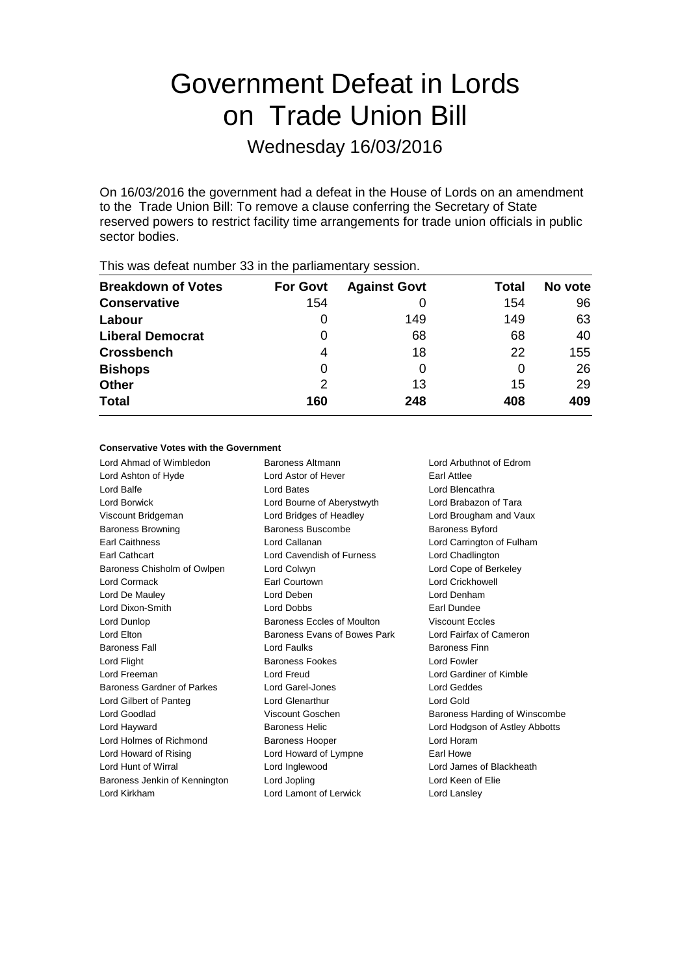# Government Defeat in Lords on Trade Union Bill

Wednesday 16/03/2016

On 16/03/2016 the government had a defeat in the House of Lords on an amendment to the Trade Union Bill: To remove a clause conferring the Secretary of State reserved powers to restrict facility time arrangements for trade union officials in public sector bodies.

| <b>Breakdown of Votes</b> | <b>For Govt</b> | <b>Against Govt</b> | Total | No vote |
|---------------------------|-----------------|---------------------|-------|---------|
| <b>Conservative</b>       | 154             |                     | 154   | 96      |
| Labour                    | 0               | 149                 | 149   | 63      |
| <b>Liberal Democrat</b>   | 0               | 68                  | 68    | 40      |
| <b>Crossbench</b>         | 4               | 18                  | 22    | 155     |
| <b>Bishops</b>            | 0               | 0                   | 0     | 26      |
| <b>Other</b>              | 2               | 13                  | 15    | 29      |
| <b>Total</b>              | 160             | 248                 | 408   | 409     |
|                           |                 |                     |       |         |

This was defeat number 33 in the parliamentary session.

### **Conservative Votes with the Government**

Lord Ahmad of Wimbledon Baroness Altmann Lord Arbuthnot of Edrom Lord Ashton of Hyde **Lord Astor of Hever** Earl Attlee Lord Balfe Lord Bates Lord Blencathra Lord Borwick Lord Bourne of Aberystwyth Lord Brabazon of Tara Viscount Bridgeman Lord Bridges of Headley Lord Brougham and Vaux Baroness Browning **Baroness Buscombe** Baroness Buscombe Baroness Byford Earl Caithness Lord Callanan Lord Carrington of Fulham Earl Cathcart Lord Cavendish of Furness Lord Chadlington Baroness Chisholm of Owlpen Lord Colwyn Lord Cope of Berkeley Lord Cormack Earl Courtown Lord Crickhowell Lord De Mauley **Lord Denham** Lord Deben **Lord Denham** Lord Dixon-Smith Lord Dobbs Earl Dundee Lord Dunlop Baroness Eccles of Moulton Viscount Eccles Lord Elton **Baroness Evans of Bowes Park** Lord Fairfax of Cameron Baroness Fall Lord Faulks Baroness Finn Lord Flight **Baroness Fookes** Lord Fowler Lord Freeman Lord Freud Lord Gardiner of Kimble Baroness Gardner of Parkes Lord Garel-Jones Lord Geddes Lord Gilbert of Panteg **Lord Glenarthur** Lord Gold Lord Goodlad Viscount Goschen Baroness Harding of Winscombe Lord Hayward **Baroness Helic** Lord Hodgson of Astley Abbotts Lord Holmes of Richmond Baroness Hooper Correct Lord Horam Lord Howard of Rising **Lord Howard of Lympne** Earl Howe Lord Hunt of Wirral Lord Inglewood Lord James of Blackheath Baroness Jenkin of Kennington Lord Jopling Communication Lord Keen of Elie Lord Kirkham Lord Lamont of Lerwick Lord Lansley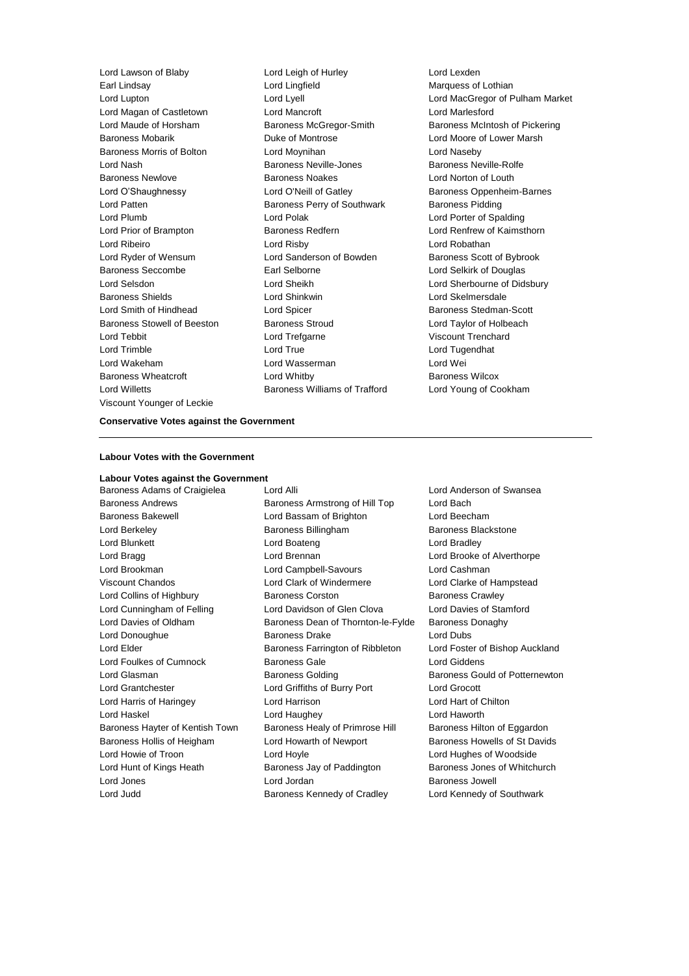Earl Lindsay Lord Lingfield Marquess of Lothian Lord Magan of Castletown **Lord Mancroft** Lord Mancroft **Lord Mancroft** Lord Marlesford Baroness Mobarik **Duke of Montrose** Lord Moore of Lower Marsh Baroness Morris of Bolton Lord Moynihan Lord Naseby Lord Nash Baroness Neville-Jones Baroness Neville-Rolfe Baroness Newlove **Baroness Noakes** Lord Norton of Louth Lord O'Shaughnessy **Lord O'Neill of Gatley Community** Baroness Oppenheim-Barnes Lord Patten **Baroness Perry of Southwark** Baroness Pidding Lord Plumb Lord Polak Lord Porter of Spalding Lord Prior of Brampton Baroness Redfern Lord Renfrew of Kaimsthorn Lord Ribeiro Lord Risby Lord Robathan Lord Ryder of Wensum **Lord Sanderson of Bowden** Baroness Scott of Bybrook Baroness Seccombe Earl Selborne Lord Selkirk of Douglas Lord Selsdon Lord Sheikh Lord Sherbourne of Didsbury Baroness Shields Lord Shinkwin Lord Skelmersdale Lord Smith of Hindhead **Lord Spicer Baroness Stedman-Scott** Baroness Stowell of Beeston Baroness Stroud Lord Taylor of Holbeach Lord Tebbit Lord Trefgarne Viscount Trenchard Lord Trimble Lord True Lord Tugendhat Lord Wakeham Lord Wasserman Lord Wei Baroness Wheatcroft Lord Whitby Baroness Wilcox Lord Willetts Baroness Williams of Trafford Lord Young of Cookham Viscount Younger of Leckie

Lord Lawson of Blaby Lord Leigh of Hurley Lord Lexden

Lord Lupton Lord Lyell Lord MacGregor of Pulham Market Lord Maude of Horsham Baroness McGregor-Smith Baroness McIntosh of Pickering

## **Conservative Votes against the Government**

#### **Labour Votes with the Government**

#### **Labour Votes against the Government**

Baroness Adams of Craigielea Lord Alli Lord Anderson of Swansea

Baroness Andrews Baroness Armstrong of Hill Top Lord Bach Baroness Bakewell Lord Bassam of Brighton Lord Beecham Lord Berkeley Baroness Billingham Baroness Blackstone Lord Blunkett Lord Boateng Lord Bradley Lord Bragg **Lord Brennan** Lord Brennan Lord Brooke of Alverthorpe Lord Brookman Lord Campbell-Savours Lord Cashman Viscount Chandos Lord Clark of Windermere Lord Clarke of Hampstead Lord Collins of Highbury Baroness Corston Baroness Crawley Lord Cunningham of Felling **Lord Davidson of Glen Clova** Lord Davies of Stamford Lord Davies of Oldham **Baroness Dean of Thornton-le-Fylde** Baroness Donaghy Lord Donoughue Baroness Drake Lord Dubs Lord Elder **Baroness Farrington of Ribbleton** Lord Foster of Bishop Auckland Lord Foulkes of Cumnock Baroness Gale Lord Giddens Lord Glasman **Baroness Golding Baroness Golding** Baroness Gould of Potternewton Lord Grantchester Lord Griffiths of Burry Port Lord Grocott Lord Harris of Haringey Lord Harrison Lord Hart of Chilton Lord Haskel Lord Haughey Lord Haworth Baroness Hayter of Kentish Town Baroness Healy of Primrose Hill Baroness Hilton of Eggardon Baroness Hollis of Heigham Lord Howarth of Newport Baroness Howells of St Davids Lord Howie of Troon Lord Hoyle Lord Hughes of Woodside Lord Hunt of Kings Heath Baroness Jay of Paddington Baroness Jones of Whitchurch Lord Jones Lord Jordan Baroness Jowell Lord Judd **Baroness Kennedy of Cradley** Lord Kennedy of Southwark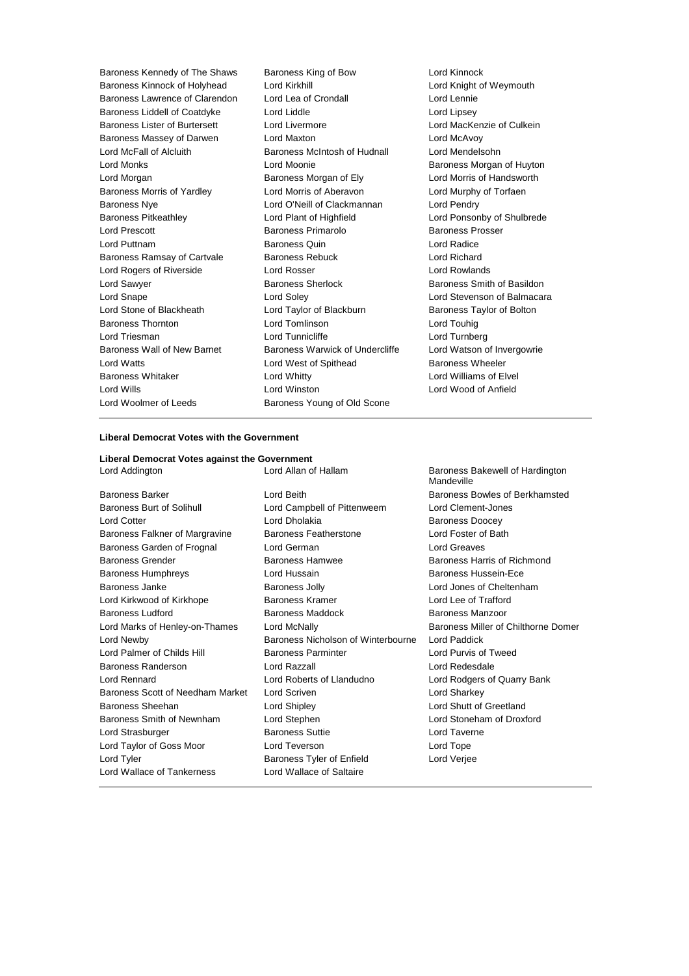Baroness Kennedy of The Shaws Baroness King of Bow Lord Kinnock<br>Baroness Kinnock of Holyhead Lord Kirkhill Cord Knight of Knight of Baroness Kinnock of Holyhead Lord Kirkhill Lord Knight of Weymouth<br>Baroness Lawrence of Clarendon Lord Lea of Crondall Lord Lennie Lord Lennie Baroness Lawrence of Clarendon Lord Lea of Crondall Lord Lennie Baroness Liddell of Coatdyke Lord Liddle Lord Linesey Baroness Lister of Burtersett Lord Livermore Lord Lord MacKenzie of Culkein Baroness Massey of Darwen Lord Maxton Lord McAvoy Lord McFall of Alcluith **Baroness McIntosh of Hudnall** Lord Mendelsohn Lord Monks Lord Moonie Baroness Morgan of Huyton Lord Morgan Baroness Morgan of Ely Lord Morris of Handsworth Baroness Morris of Yardley Lord Morris of Aberavon Lord Murphy of Torfaen Baroness Nye Lord O'Neill of Clackmannan Lord Pendry Baroness Pitkeathley Lord Plant of Highfield Lord Ponsonby of Shulbrede Lord Prescott **Baroness Primarolo** Baroness Prosser Lord Puttnam Baroness Quin Lord Radice Baroness Ramsay of Cartvale Baroness Rebuck Lord Richard Lord Rogers of Riverside Lord Rosser Lord Rowlands Lord Sawyer **Baroness Sherlock** Baroness Sherlock Baroness Smith of Basildon Lord Snape Lord Soley Lord Soley Lord Stevenson of Balmacara<br>
Lord Stone of Blackheath Lord Taylor of Blackburn Baroness Taylor of Bolton Lord Stone of Blackheath Lord Taylor of Blackburn Baroness Taylor of Bolton Baroness Thornton Lord Tomlinson Lord Touhig Lord Triesman Lord Tunnicliffe Lord Turnberg Baroness Wall of New Barnet Baroness Warwick of Undercliffe Lord Watson of Invergowrie Lord Watts **Lord West of Spithead** Baroness Wheeler Baroness Whitaker Lord Whitty Lord Williams of Elvel Lord Wills Lord Winston Lord Wood of Anfield Lord Woolmer of Leeds Baroness Young of Old Scone

# **Liberal Democrat Votes with the Government**

**Liberal Democrat Votes against the Government** Lord Addington **Lord Allan of Hallam** Baroness Bakewell of Hardington

Lord Wallace of Tankerness Lord Wallace of Saltaire

Baroness Barker Lord Beith Baroness Bowles of Berkhamsted Baroness Burt of Solihull Lord Campbell of Pittenweem Lord Clement-Jones Lord Cotter **Lord Dholakia** Baroness Doocey Baroness Falkner of Margravine Baroness Featherstone Lord Foster of Bath Baroness Garden of Frognal Lord German Lord Greaves Baroness Grender **Baroness Hammed Baroness Hammed Baroness Hammed Baroness Harris of Richmond** Baroness Humphreys Lord Hussain Baroness Hussein-Ece Baroness Janke Baroness Jolly Lord Jones of Cheltenham Lord Kirkwood of Kirkhope **Baroness Kramer** Baroness Kramer Lord Lee of Trafford Baroness Ludford **Baroness Maddock** Baroness Manzoor Lord Newby Baroness Nicholson of Winterbourne Lord Paddick Lord Palmer of Childs Hill **Baroness Parminter Lord Purvis of Tweed** Baroness Randerson Lord Razzall Lord Redesdale Lord Rennard Lord Roberts of Llandudno Lord Rodgers of Quarry Bank Baroness Scott of Needham Market Lord Scriven Lord Sharkey Lord Sharkey Baroness Sheehan Lord Shipley Lord Shutt of Greetland Baroness Smith of Newnham Lord Stephen Lord Stoneham of Droxford Lord Strasburger The Baroness Suttie The Lord Taverne Lord Taylor of Goss Moor Lord Teverson Lord Tope Lord Tyler Baroness Tyler of Enfield Lord Verjee

**Mandeville** Lord Marks of Henley-on-Thames Lord McNally **Baroness Miller of Chilthorne Domer**